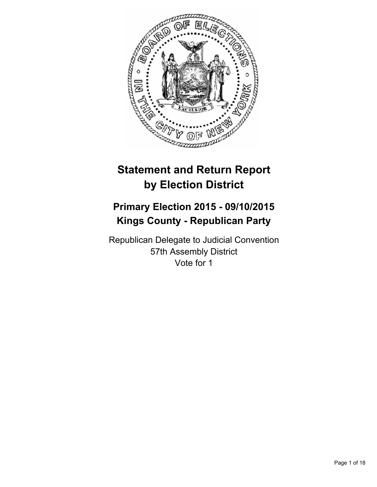

# **Statement and Return Report by Election District**

# **Primary Election 2015 - 09/10/2015 Kings County - Republican Party**

Republican Delegate to Judicial Convention 57th Assembly District Vote for 1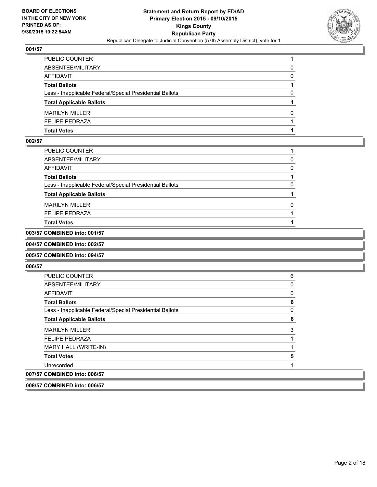

| PUBLIC COUNTER                                           |   |
|----------------------------------------------------------|---|
| ABSENTEE/MILITARY                                        | 0 |
| AFFIDAVIT                                                | 0 |
| <b>Total Ballots</b>                                     |   |
| Less - Inapplicable Federal/Special Presidential Ballots | 0 |
| <b>Total Applicable Ballots</b>                          |   |
| <b>MARILYN MILLER</b>                                    | 0 |
| FELIPE PEDRAZA                                           |   |
| Total Votes                                              |   |

#### **002/57**

| PUBLIC COUNTER                                           |   |
|----------------------------------------------------------|---|
| ABSENTEE/MILITARY                                        | 0 |
| AFFIDAVIT                                                | 0 |
| <b>Total Ballots</b>                                     |   |
| Less - Inapplicable Federal/Special Presidential Ballots | 0 |
| <b>Total Applicable Ballots</b>                          |   |
| <b>MARILYN MILLER</b>                                    | 0 |
| <b>FELIPE PEDRAZA</b>                                    |   |
| Total Votes                                              |   |
|                                                          |   |

### **003/57 COMBINED into: 001/57**

#### **004/57 COMBINED into: 002/57**

#### **005/57 COMBINED into: 094/57**

#### **006/57**

| <b>PUBLIC COUNTER</b>                                    | 6 |
|----------------------------------------------------------|---|
| ABSENTEE/MILITARY                                        | 0 |
| <b>AFFIDAVIT</b>                                         | 0 |
| <b>Total Ballots</b>                                     | 6 |
| Less - Inapplicable Federal/Special Presidential Ballots | 0 |
| <b>Total Applicable Ballots</b>                          | 6 |
| <b>MARILYN MILLER</b>                                    | 3 |
| <b>FELIPE PEDRAZA</b>                                    |   |
| MARY HALL (WRITE-IN)                                     |   |
| <b>Total Votes</b>                                       | 5 |
| Unrecorded                                               |   |
| 007/57 COMBINED into: 006/57                             |   |

#### **008/57 COMBINED into: 006/57**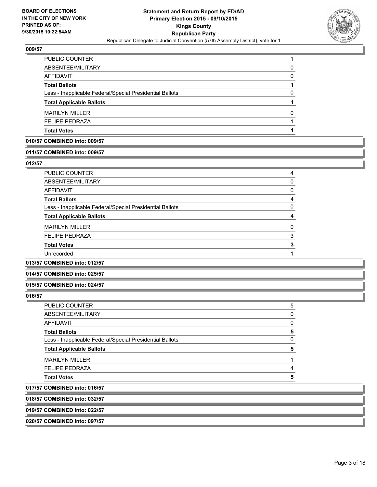

| <b>PUBLIC COUNTER</b>                                    |   |
|----------------------------------------------------------|---|
| ABSENTEE/MILITARY                                        | 0 |
| <b>AFFIDAVIT</b>                                         | 0 |
| <b>Total Ballots</b>                                     |   |
| Less - Inapplicable Federal/Special Presidential Ballots | 0 |
| <b>Total Applicable Ballots</b>                          |   |
| <b>MARILYN MILLER</b>                                    | O |
| <b>FELIPE PEDRAZA</b>                                    |   |
| <b>Total Votes</b>                                       |   |

#### **010/57 COMBINED into: 009/57**

#### **011/57 COMBINED into: 009/57**

#### **012/57**

| PUBLIC COUNTER                                           | 4        |
|----------------------------------------------------------|----------|
| ABSENTEE/MILITARY                                        | 0        |
| AFFIDAVIT                                                | 0        |
| <b>Total Ballots</b>                                     | 4        |
| Less - Inapplicable Federal/Special Presidential Ballots | 0        |
| <b>Total Applicable Ballots</b>                          | 4        |
| <b>MARILYN MILLER</b>                                    | $\Omega$ |
| <b>FELIPE PEDRAZA</b>                                    | 3        |
| <b>Total Votes</b>                                       | 3        |
| Unrecorded                                               |          |
| <br>                                                     |          |

**013/57 COMBINED into: 012/57**

#### **014/57 COMBINED into: 025/57**

**015/57 COMBINED into: 024/57**

#### **016/57**

| <b>FELIPE PEDRAZA</b>                                    | 4        |
|----------------------------------------------------------|----------|
| <b>MARILYN MILLER</b>                                    |          |
| <b>Total Applicable Ballots</b>                          | 5        |
| Less - Inapplicable Federal/Special Presidential Ballots | $\Omega$ |
| <b>Total Ballots</b>                                     | 5        |
| AFFIDAVIT                                                | 0        |
| ABSENTEE/MILITARY                                        | 0        |
| <b>PUBLIC COUNTER</b>                                    | 5        |

**018/57 COMBINED into: 032/57**

**019/57 COMBINED into: 022/57**

**020/57 COMBINED into: 097/57**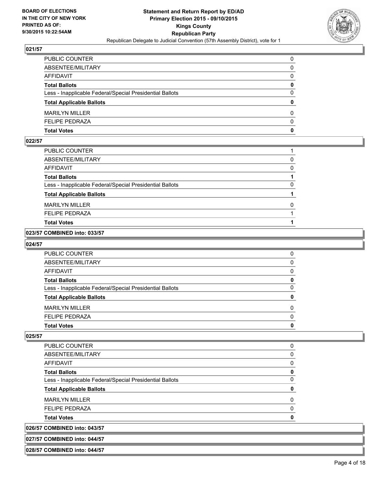

| PUBLIC COUNTER                                           | 0            |
|----------------------------------------------------------|--------------|
| ABSENTEE/MILITARY                                        | 0            |
| AFFIDAVIT                                                | 0            |
| Total Ballots                                            | 0            |
| Less - Inapplicable Federal/Special Presidential Ballots | $\mathbf{0}$ |
| <b>Total Applicable Ballots</b>                          | $\mathbf{0}$ |
| <b>MARILYN MILLER</b>                                    | 0            |
| <b>FELIPE PEDRAZA</b>                                    | $\Omega$     |
| Total Votes                                              | 0            |

#### **022/57**

| PUBLIC COUNTER                                           |   |
|----------------------------------------------------------|---|
| ABSENTEE/MILITARY                                        | 0 |
| <b>AFFIDAVIT</b>                                         | 0 |
| <b>Total Ballots</b>                                     |   |
| Less - Inapplicable Federal/Special Presidential Ballots | 0 |
| <b>Total Applicable Ballots</b>                          |   |
| <b>MARILYN MILLER</b>                                    | 0 |
| <b>FELIPE PEDRAZA</b>                                    |   |
| <b>Total Votes</b>                                       |   |

#### **023/57 COMBINED into: 033/57**

#### **024/57**

| <b>PUBLIC COUNTER</b>                                    |   |
|----------------------------------------------------------|---|
| ABSENTEE/MILITARY                                        |   |
| <b>AFFIDAVIT</b>                                         |   |
| <b>Total Ballots</b>                                     | O |
| Less - Inapplicable Federal/Special Presidential Ballots |   |
| <b>Total Applicable Ballots</b>                          |   |
| <b>MARILYN MILLER</b>                                    |   |
| <b>FELIPE PEDRAZA</b>                                    |   |
| <b>Total Votes</b>                                       |   |

**025/57** 

| --- <i>-</i> -- - - - - <i>-</i>                         |   |
|----------------------------------------------------------|---|
| 026/57 COMBINED into: 043/57                             |   |
| <b>Total Votes</b>                                       |   |
| <b>FELIPE PEDRAZA</b>                                    |   |
| <b>MARILYN MILLER</b>                                    |   |
| <b>Total Applicable Ballots</b>                          |   |
| Less - Inapplicable Federal/Special Presidential Ballots |   |
| <b>Total Ballots</b>                                     | o |
| AFFIDAVIT                                                |   |
| ABSENTEE/MILITARY                                        | 0 |
| PUBLIC COUNTER                                           |   |

## **027/57 COMBINED into: 044/57**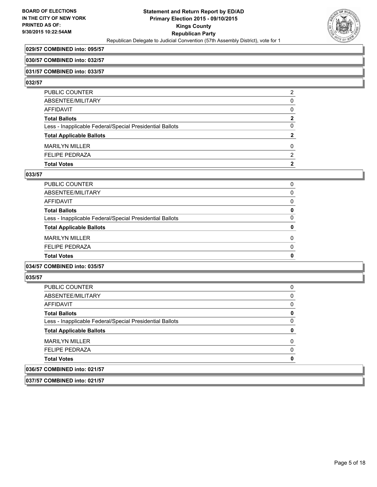

#### **029/57 COMBINED into: 095/57**

#### **030/57 COMBINED into: 032/57**

#### **031/57 COMBINED into: 033/57**

#### **032/57**

| PUBLIC COUNTER                                           | 2 |
|----------------------------------------------------------|---|
| ABSENTEE/MILITARY                                        | 0 |
| AFFIDAVIT                                                | 0 |
| <b>Total Ballots</b>                                     | 2 |
| Less - Inapplicable Federal/Special Presidential Ballots | 0 |
| <b>Total Applicable Ballots</b>                          | 2 |
| <b>MARILYN MILLER</b>                                    | 0 |
| <b>FELIPE PEDRAZA</b>                                    | 2 |
| <b>Total Votes</b>                                       | 2 |
|                                                          |   |

#### **033/57**

| <b>Total Votes</b>                                       | 0        |
|----------------------------------------------------------|----------|
| <b>FELIPE PEDRAZA</b>                                    | $\Omega$ |
| <b>MARILYN MILLER</b>                                    | 0        |
| <b>Total Applicable Ballots</b>                          | 0        |
| Less - Inapplicable Federal/Special Presidential Ballots | $\Omega$ |
| <b>Total Ballots</b>                                     | 0        |
| AFFIDAVIT                                                | $\Omega$ |
| ABSENTEE/MILITARY                                        | 0        |
| PUBLIC COUNTER                                           | 0        |

#### **034/57 COMBINED into: 035/57**

#### **035/57**

| 036/57 COMBINED into: 021/57                             |   |
|----------------------------------------------------------|---|
| <b>Total Votes</b>                                       | 0 |
| <b>FELIPE PEDRAZA</b>                                    | 0 |
| <b>MARILYN MILLER</b>                                    | 0 |
| <b>Total Applicable Ballots</b>                          | 0 |
| Less - Inapplicable Federal/Special Presidential Ballots | 0 |
| <b>Total Ballots</b>                                     | 0 |
| AFFIDAVIT                                                | 0 |
| ABSENTEE/MILITARY                                        | 0 |
| <b>PUBLIC COUNTER</b>                                    | 0 |

**037/57 COMBINED into: 021/57**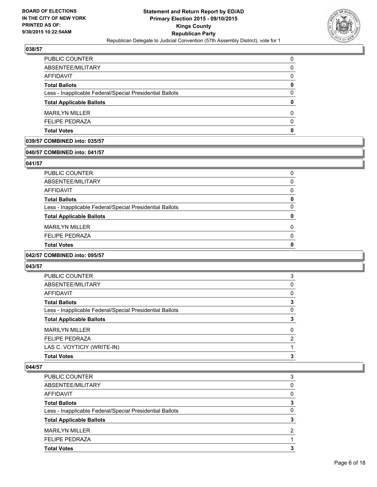

| <b>FELIPE PEDRAZA</b>                                    | $\Omega$ |
|----------------------------------------------------------|----------|
| <b>MARILYN MILLER</b>                                    | $\Omega$ |
| <b>Total Applicable Ballots</b>                          | 0        |
| Less - Inapplicable Federal/Special Presidential Ballots | $\Omega$ |
| <b>Total Ballots</b>                                     | 0        |
| <b>AFFIDAVIT</b>                                         | 0        |
| ABSENTEE/MILITARY                                        | 0        |
| PUBLIC COUNTER                                           | 0        |

#### **039/57 COMBINED into: 035/57**

#### **040/57 COMBINED into: 041/57**

#### **041/57**

| <b>Total Votes</b>                                       | ŋ        |
|----------------------------------------------------------|----------|
| <b>FELIPE PEDRAZA</b>                                    | $\Omega$ |
| <b>MARILYN MILLER</b>                                    | 0        |
| <b>Total Applicable Ballots</b>                          | 0        |
| Less - Inapplicable Federal/Special Presidential Ballots | 0        |
| <b>Total Ballots</b>                                     | 0        |
| <b>AFFIDAVIT</b>                                         | 0        |
| ABSENTEE/MILITARY                                        | 0        |
| PUBLIC COUNTER                                           | 0        |

#### **042/57 COMBINED into: 095/57**

#### **043/57**

| PUBLIC COUNTER                                           | 3 |
|----------------------------------------------------------|---|
| ABSENTEE/MILITARY                                        | 0 |
| <b>AFFIDAVIT</b>                                         | 0 |
| <b>Total Ballots</b>                                     | 3 |
| Less - Inapplicable Federal/Special Presidential Ballots | 0 |
| <b>Total Applicable Ballots</b>                          | 3 |
| <b>MARILYN MILLER</b>                                    | 0 |
| <b>FELIPE PEDRAZA</b>                                    | 2 |
| LAS C. VOYTICIY (WRITE-IN)                               |   |
| <b>Total Votes</b>                                       | 3 |

| PUBLIC COUNTER                                           | 3        |
|----------------------------------------------------------|----------|
| ABSENTEE/MILITARY                                        | 0        |
| AFFIDAVIT                                                | 0        |
| <b>Total Ballots</b>                                     | 3        |
| Less - Inapplicable Federal/Special Presidential Ballots | $\Omega$ |
| <b>Total Applicable Ballots</b>                          | 3        |
| <b>MARILYN MILLER</b>                                    | 2        |
| <b>FELIPE PEDRAZA</b>                                    |          |
| <b>Total Votes</b>                                       | з        |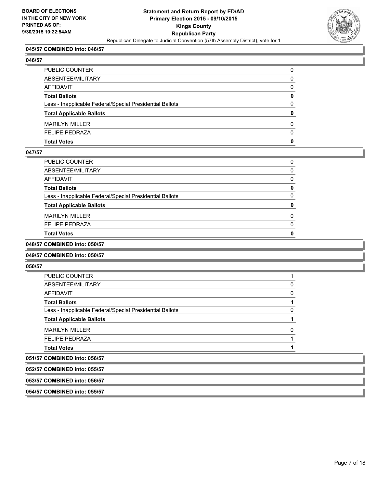

#### **045/57 COMBINED into: 046/57**

#### **046/57**

| <b>Total Votes</b>                                       | 0        |
|----------------------------------------------------------|----------|
| <b>FELIPE PEDRAZA</b>                                    | $\Omega$ |
| <b>MARILYN MILLER</b>                                    | 0        |
| <b>Total Applicable Ballots</b>                          | 0        |
| Less - Inapplicable Federal/Special Presidential Ballots | $\Omega$ |
| <b>Total Ballots</b>                                     | 0        |
| <b>AFFIDAVIT</b>                                         | 0        |
| ABSENTEE/MILITARY                                        | 0        |
| PUBLIC COUNTER                                           | 0        |

#### **047/57**

| PUBLIC COUNTER                                           | 0 |
|----------------------------------------------------------|---|
| ABSENTEE/MILITARY                                        | 0 |
| <b>AFFIDAVIT</b>                                         | 0 |
| <b>Total Ballots</b>                                     | 0 |
| Less - Inapplicable Federal/Special Presidential Ballots | 0 |
| <b>Total Applicable Ballots</b>                          | 0 |
| <b>MARILYN MILLER</b>                                    | 0 |
| <b>FELIPE PEDRAZA</b>                                    | 0 |
| <b>Total Votes</b>                                       | 0 |

#### **048/57 COMBINED into: 050/57**

#### **049/57 COMBINED into: 050/57**

#### **050/57**

| 052/57 COMBINED into: 055/57                             |  |
|----------------------------------------------------------|--|
| 051/57 COMBINED into: 056/57                             |  |
| <b>Total Votes</b>                                       |  |
| <b>FELIPE PEDRAZA</b>                                    |  |
| <b>MARILYN MILLER</b>                                    |  |
| <b>Total Applicable Ballots</b>                          |  |
| Less - Inapplicable Federal/Special Presidential Ballots |  |
| <b>Total Ballots</b>                                     |  |
| AFFIDAVIT                                                |  |
| ABSENTEE/MILITARY                                        |  |
| <b>PUBLIC COUNTER</b>                                    |  |

## **053/57 COMBINED into: 056/57**

#### **054/57 COMBINED into: 055/57**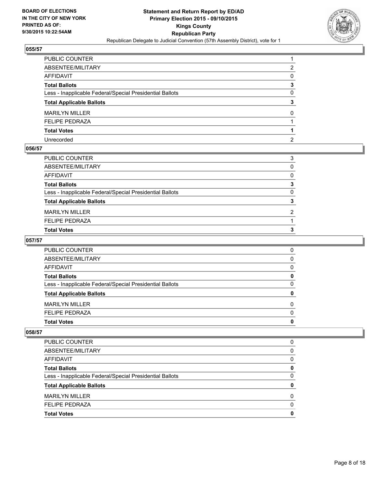

| PUBLIC COUNTER                                           |              |
|----------------------------------------------------------|--------------|
| ABSENTEE/MILITARY                                        | 2            |
| AFFIDAVIT                                                | 0            |
| Total Ballots                                            | 3            |
| Less - Inapplicable Federal/Special Presidential Ballots | 0            |
| <b>Total Applicable Ballots</b>                          | 3            |
| <b>MARILYN MILLER</b>                                    | $\mathbf{0}$ |
| <b>FELIPE PEDRAZA</b>                                    |              |
| <b>Total Votes</b>                                       |              |
| Unrecorded                                               | 2            |

#### **056/57**

| PUBLIC COUNTER                                           | 3 |
|----------------------------------------------------------|---|
| ABSENTEE/MILITARY                                        | 0 |
| AFFIDAVIT                                                | 0 |
| Total Ballots                                            | 3 |
| Less - Inapplicable Federal/Special Presidential Ballots | 0 |
| <b>Total Applicable Ballots</b>                          | 3 |
| <b>MARILYN MILLER</b>                                    | 2 |
| <b>FELIPE PEDRAZA</b>                                    |   |
| <b>Total Votes</b>                                       | 3 |
|                                                          |   |

#### **057/57**

| <b>PUBLIC COUNTER</b>                                    | 0 |
|----------------------------------------------------------|---|
| ABSENTEE/MILITARY                                        | 0 |
| <b>AFFIDAVIT</b>                                         | 0 |
| <b>Total Ballots</b>                                     | 0 |
| Less - Inapplicable Federal/Special Presidential Ballots | 0 |
| <b>Total Applicable Ballots</b>                          | 0 |
| <b>MARILYN MILLER</b>                                    | 0 |
| <b>FELIPE PEDRAZA</b>                                    | 0 |
| <b>Total Votes</b>                                       | 0 |

| <b>PUBLIC COUNTER</b>                                    | 0 |
|----------------------------------------------------------|---|
| ABSENTEE/MILITARY                                        | 0 |
| AFFIDAVIT                                                | 0 |
| <b>Total Ballots</b>                                     | 0 |
| Less - Inapplicable Federal/Special Presidential Ballots | 0 |
| <b>Total Applicable Ballots</b>                          | 0 |
| <b>MARILYN MILLER</b>                                    | 0 |
| <b>FELIPE PEDRAZA</b>                                    | 0 |
| <b>Total Votes</b>                                       | o |
|                                                          |   |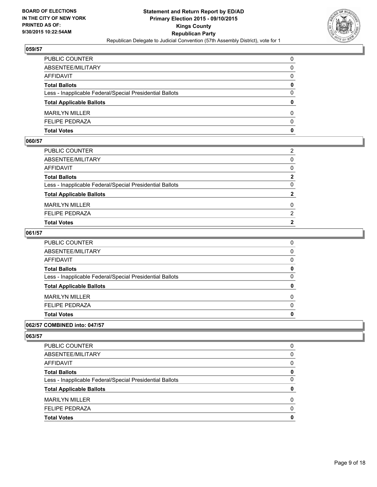

| PUBLIC COUNTER                                           | 0            |
|----------------------------------------------------------|--------------|
| ABSENTEE/MILITARY                                        | $\mathbf{0}$ |
| AFFIDAVIT                                                | $\mathbf{0}$ |
| Total Ballots                                            | 0            |
| Less - Inapplicable Federal/Special Presidential Ballots | $\mathbf{0}$ |
| <b>Total Applicable Ballots</b>                          | $\mathbf{0}$ |
| <b>MARILYN MILLER</b>                                    | 0            |
| <b>FELIPE PEDRAZA</b>                                    | $\Omega$     |
| Total Votes                                              | $\mathbf{0}$ |

#### **060/57**

| PUBLIC COUNTER                                           | $\overline{2}$ |
|----------------------------------------------------------|----------------|
| ABSENTEE/MILITARY                                        | $\Omega$       |
| AFFIDAVIT                                                | $\Omega$       |
| <b>Total Ballots</b>                                     | $\mathbf{2}$   |
| Less - Inapplicable Federal/Special Presidential Ballots | $\Omega$       |
| <b>Total Applicable Ballots</b>                          | $\mathbf{2}$   |
| <b>MARILYN MILLER</b>                                    | $\Omega$       |
| <b>FELIPE PEDRAZA</b>                                    | 2              |
| <b>Total Votes</b>                                       | 2              |
|                                                          |                |

#### **061/57**

| <b>Total Votes</b>                                       | 0        |
|----------------------------------------------------------|----------|
| <b>FELIPE PEDRAZA</b>                                    | $\Omega$ |
| <b>MARILYN MILLER</b>                                    | $\Omega$ |
| <b>Total Applicable Ballots</b>                          | 0        |
| Less - Inapplicable Federal/Special Presidential Ballots | $\Omega$ |
| <b>Total Ballots</b>                                     | 0        |
| AFFIDAVIT                                                | 0        |
| ABSENTEE/MILITARY                                        | 0        |
| PUBLIC COUNTER                                           | 0        |

#### **062/57 COMBINED into: 047/57**

| <b>Total Votes</b>                                       | 0            |
|----------------------------------------------------------|--------------|
| <b>FELIPE PEDRAZA</b>                                    | <sup>0</sup> |
| <b>MARILYN MILLER</b>                                    | 0            |
| <b>Total Applicable Ballots</b>                          | 0            |
| Less - Inapplicable Federal/Special Presidential Ballots | 0            |
| <b>Total Ballots</b>                                     | 0            |
| AFFIDAVIT                                                | 0            |
| ABSENTEE/MILITARY                                        | 0            |
| <b>PUBLIC COUNTER</b>                                    | 0            |
|                                                          |              |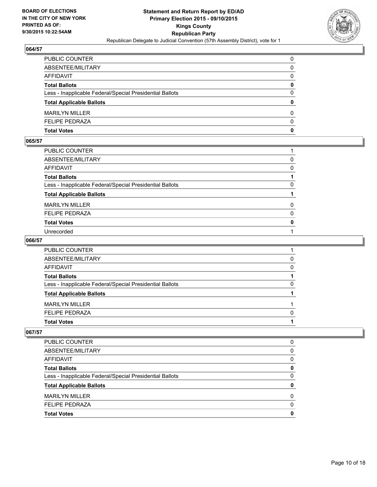

| PUBLIC COUNTER                                           | 0            |
|----------------------------------------------------------|--------------|
| ABSENTEE/MILITARY                                        | 0            |
| AFFIDAVIT                                                | $\mathbf{0}$ |
| Total Ballots                                            | 0            |
| Less - Inapplicable Federal/Special Presidential Ballots | $\mathbf{0}$ |
| <b>Total Applicable Ballots</b>                          | $\mathbf{0}$ |
| <b>MARILYN MILLER</b>                                    | 0            |
| FELIPE PEDRAZA                                           | $\Omega$     |
| Total Votes                                              | $\mathbf{0}$ |

#### **065/57**

| 0            |
|--------------|
| $\Omega$     |
|              |
| $\Omega$     |
|              |
| $\mathbf{0}$ |
| $\mathbf{0}$ |
| $\mathbf{0}$ |
|              |
|              |

#### **066/57**

| PUBLIC COUNTER                                           |   |
|----------------------------------------------------------|---|
| ABSENTEE/MILITARY                                        | 0 |
| AFFIDAVIT                                                | 0 |
| <b>Total Ballots</b>                                     |   |
| Less - Inapplicable Federal/Special Presidential Ballots | 0 |
| <b>Total Applicable Ballots</b>                          |   |
| <b>MARILYN MILLER</b>                                    |   |
| <b>FELIPE PEDRAZA</b>                                    | 0 |
| <b>Total Votes</b>                                       |   |
|                                                          |   |

| PUBLIC COUNTER                                           | 0 |
|----------------------------------------------------------|---|
| ABSENTEE/MILITARY                                        | 0 |
| AFFIDAVIT                                                | 0 |
| <b>Total Ballots</b>                                     | 0 |
| Less - Inapplicable Federal/Special Presidential Ballots | 0 |
| <b>Total Applicable Ballots</b>                          | n |
| <b>MARILYN MILLER</b>                                    | 0 |
| <b>FELIPE PEDRAZA</b>                                    | 0 |
| <b>Total Votes</b>                                       | O |
|                                                          |   |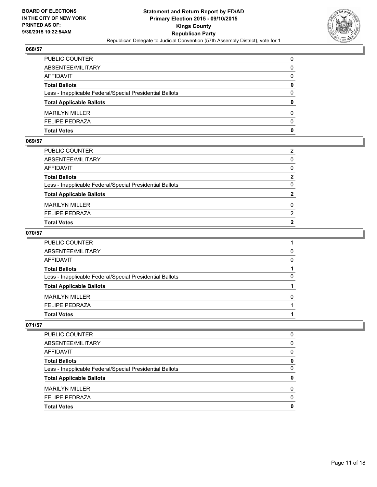

| PUBLIC COUNTER                                           | 0            |
|----------------------------------------------------------|--------------|
| ABSENTEE/MILITARY                                        | $\mathbf{0}$ |
| AFFIDAVIT                                                | 0            |
| Total Ballots                                            | 0            |
| Less - Inapplicable Federal/Special Presidential Ballots | $\mathbf{0}$ |
| <b>Total Applicable Ballots</b>                          | $\mathbf{0}$ |
| MARILYN MILLER                                           | 0            |
| <b>FELIPE PEDRAZA</b>                                    | $\Omega$     |
| Total Votes                                              | $\mathbf{0}$ |

#### **069/57**

| PUBLIC COUNTER                                           | 2              |
|----------------------------------------------------------|----------------|
| ABSENTEE/MILITARY                                        | $\Omega$       |
| AFFIDAVIT                                                | $\mathbf{0}$   |
| <b>Total Ballots</b>                                     | $\overline{2}$ |
| Less - Inapplicable Federal/Special Presidential Ballots | $\Omega$       |
| <b>Total Applicable Ballots</b>                          | $\mathbf{2}$   |
| <b>MARILYN MILLER</b>                                    | 0              |
| <b>FELIPE PEDRAZA</b>                                    | 2              |
| <b>Total Votes</b>                                       | $\overline{2}$ |
|                                                          |                |

#### **070/57**

| PUBLIC COUNTER                                           |              |
|----------------------------------------------------------|--------------|
| ABSENTEE/MILITARY                                        | 0            |
| AFFIDAVIT                                                | $\Omega$     |
| <b>Total Ballots</b>                                     |              |
| Less - Inapplicable Federal/Special Presidential Ballots | 0            |
| <b>Total Applicable Ballots</b>                          |              |
| MARILYN MILLER                                           | <sup>0</sup> |
| <b>FELIPE PEDRAZA</b>                                    |              |
| Total Votes                                              |              |
|                                                          |              |

| PUBLIC COUNTER                                           | 0        |
|----------------------------------------------------------|----------|
| ABSENTEE/MILITARY                                        | 0        |
| AFFIDAVIT                                                | 0        |
| <b>Total Ballots</b>                                     | 0        |
| Less - Inapplicable Federal/Special Presidential Ballots | 0        |
| <b>Total Applicable Ballots</b>                          | 0        |
| <b>MARILYN MILLER</b>                                    | 0        |
| <b>FELIPE PEDRAZA</b>                                    | $\Omega$ |
| <b>Total Votes</b>                                       | 0        |
|                                                          |          |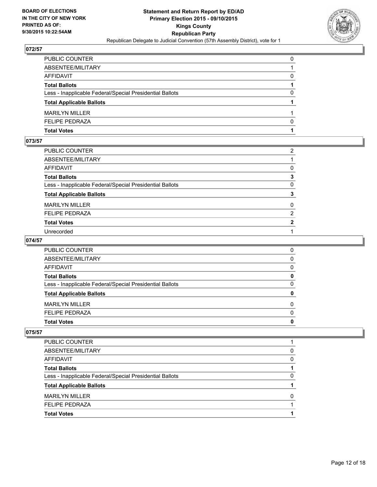

| PUBLIC COUNTER                                           | 0        |
|----------------------------------------------------------|----------|
| ABSENTEE/MILITARY                                        |          |
| AFFIDAVIT                                                | 0        |
| Total Ballots                                            |          |
| Less - Inapplicable Federal/Special Presidential Ballots | 0        |
| <b>Total Applicable Ballots</b>                          |          |
| <b>MARILYN MILLER</b>                                    |          |
| FELIPE PEDRAZA                                           | $\Omega$ |
| Total Votes                                              |          |

#### **073/57**

| PUBLIC COUNTER                                           | $\overline{2}$ |
|----------------------------------------------------------|----------------|
| ABSENTEE/MILITARY                                        |                |
| AFFIDAVIT                                                | 0              |
| <b>Total Ballots</b>                                     | 3              |
| Less - Inapplicable Federal/Special Presidential Ballots | 0              |
| <b>Total Applicable Ballots</b>                          | 3              |
| MARILYN MILLER                                           | $\mathbf{0}$   |
| <b>FELIPE PEDRAZA</b>                                    | 2              |
| <b>Total Votes</b>                                       | $\mathbf{2}$   |
| Unrecorded                                               |                |
|                                                          |                |

#### **074/57**

| <b>Total Votes</b>                                       | 0            |
|----------------------------------------------------------|--------------|
| <b>FELIPE PEDRAZA</b>                                    | 0            |
| <b>MARILYN MILLER</b>                                    | 0            |
| <b>Total Applicable Ballots</b>                          | $\mathbf{0}$ |
| Less - Inapplicable Federal/Special Presidential Ballots | 0            |
| <b>Total Ballots</b>                                     | 0            |
| <b>AFFIDAVIT</b>                                         | 0            |
| ABSENTEE/MILITARY                                        | 0            |
| PUBLIC COUNTER                                           | 0            |

| <b>PUBLIC COUNTER</b>                                    |   |
|----------------------------------------------------------|---|
| ABSENTEE/MILITARY                                        | 0 |
| AFFIDAVIT                                                | 0 |
| <b>Total Ballots</b>                                     |   |
| Less - Inapplicable Federal/Special Presidential Ballots | 0 |
| <b>Total Applicable Ballots</b>                          |   |
| <b>MARILYN MILLER</b>                                    | 0 |
| <b>FELIPE PEDRAZA</b>                                    |   |
| <b>Total Votes</b>                                       |   |
|                                                          |   |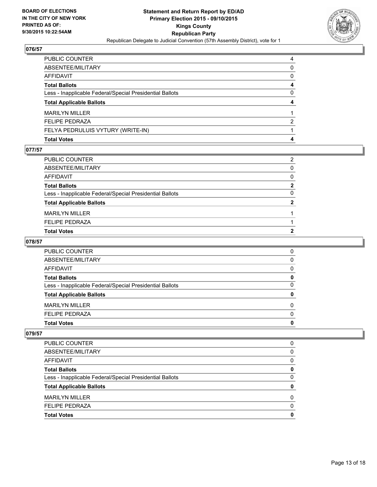

| PUBLIC COUNTER                                           | 4            |
|----------------------------------------------------------|--------------|
| ABSENTEE/MILITARY                                        | 0            |
| AFFIDAVIT                                                | $\mathbf{0}$ |
| Total Ballots                                            | 4            |
| Less - Inapplicable Federal/Special Presidential Ballots | 0            |
| <b>Total Applicable Ballots</b>                          | 4            |
| MARILYN MILLER                                           |              |
| <b>FELIPE PEDRAZA</b>                                    | 2            |
| FELYA PEDRULUIS VYTURY (WRITE-IN)                        |              |
| Total Votes                                              | 4            |

#### **077/57**

| PUBLIC COUNTER                                           | 2              |
|----------------------------------------------------------|----------------|
| ABSENTEE/MILITARY                                        | $\Omega$       |
| AFFIDAVIT                                                | $\Omega$       |
| <b>Total Ballots</b>                                     | $\mathbf{2}$   |
| Less - Inapplicable Federal/Special Presidential Ballots | 0              |
| <b>Total Applicable Ballots</b>                          | $\mathbf{2}$   |
| <b>MARILYN MILLER</b>                                    |                |
| <b>FELIPE PEDRAZA</b>                                    |                |
| Total Votes                                              | $\overline{2}$ |
|                                                          |                |

#### **078/57**

| PUBLIC COUNTER                                           | 0 |
|----------------------------------------------------------|---|
| ABSENTEE/MILITARY                                        | 0 |
| AFFIDAVIT                                                | 0 |
| <b>Total Ballots</b>                                     | 0 |
| Less - Inapplicable Federal/Special Presidential Ballots | 0 |
| <b>Total Applicable Ballots</b>                          | 0 |
| <b>MARILYN MILLER</b>                                    | 0 |
| <b>FELIPE PEDRAZA</b>                                    | 0 |
| <b>Total Votes</b>                                       | 0 |

| PUBLIC COUNTER                                           | 0 |
|----------------------------------------------------------|---|
| ABSENTEE/MILITARY                                        | 0 |
| AFFIDAVIT                                                | 0 |
| <b>Total Ballots</b>                                     | 0 |
| Less - Inapplicable Federal/Special Presidential Ballots | 0 |
| <b>Total Applicable Ballots</b>                          | 0 |
| <b>MARILYN MILLER</b>                                    | 0 |
| <b>FELIPE PEDRAZA</b>                                    | 0 |
| <b>Total Votes</b>                                       | 0 |
|                                                          |   |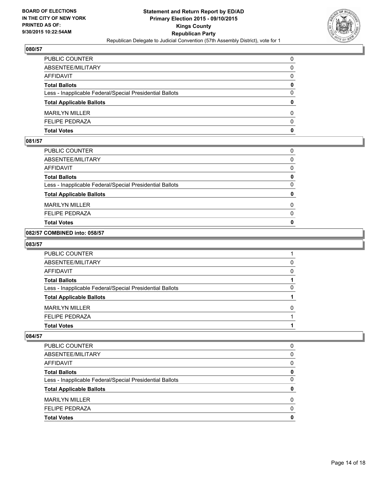

| PUBLIC COUNTER                                           | 0            |
|----------------------------------------------------------|--------------|
| ABSENTEE/MILITARY                                        | $\mathbf{0}$ |
| AFFIDAVIT                                                | 0            |
| Total Ballots                                            | 0            |
| Less - Inapplicable Federal/Special Presidential Ballots | $\Omega$     |
| <b>Total Applicable Ballots</b>                          | $\mathbf{0}$ |
| <b>MARILYN MILLER</b>                                    | 0            |
| FELIPE PEDRAZA                                           | $\Omega$     |
| Total Votes                                              | $\mathbf{0}$ |

#### **081/57**

| <b>Total Votes</b>                                       | $\mathbf{0}$ |
|----------------------------------------------------------|--------------|
|                                                          |              |
| <b>FELIPE PEDRAZA</b>                                    | 0            |
| <b>MARILYN MILLER</b>                                    | 0            |
| <b>Total Applicable Ballots</b>                          | 0            |
| Less - Inapplicable Federal/Special Presidential Ballots | 0            |
| <b>Total Ballots</b>                                     | 0            |
| <b>AFFIDAVIT</b>                                         | 0            |
| ABSENTEE/MILITARY                                        | 0            |
| PUBLIC COUNTER                                           | 0            |

#### **082/57 COMBINED into: 058/57**

#### **083/57**

| <b>PUBLIC COUNTER</b>                                    |              |
|----------------------------------------------------------|--------------|
| ABSENTEE/MILITARY                                        | 0            |
| AFFIDAVIT                                                | <sup>0</sup> |
| <b>Total Ballots</b>                                     |              |
| Less - Inapplicable Federal/Special Presidential Ballots | 0            |
| <b>Total Applicable Ballots</b>                          |              |
| <b>MARILYN MILLER</b>                                    | O            |
| <b>FELIPE PEDRAZA</b>                                    |              |
| <b>Total Votes</b>                                       |              |

| <b>PUBLIC COUNTER</b>                                    | 0 |
|----------------------------------------------------------|---|
| ABSENTEE/MILITARY                                        | 0 |
| <b>AFFIDAVIT</b>                                         | 0 |
| <b>Total Ballots</b>                                     | 0 |
| Less - Inapplicable Federal/Special Presidential Ballots | 0 |
| <b>Total Applicable Ballots</b>                          | 0 |
| MARII YN MILLER                                          | 0 |
| <b>FELIPE PEDRAZA</b>                                    | 0 |
| <b>Total Votes</b>                                       | 0 |
|                                                          |   |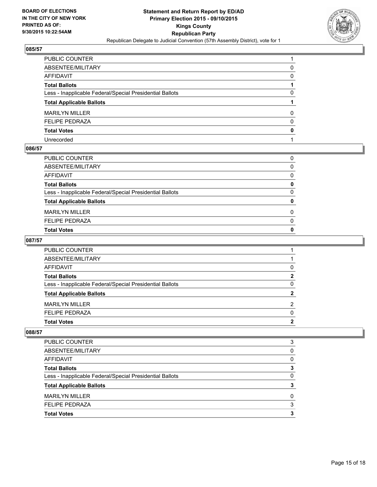

| PUBLIC COUNTER                                           |              |
|----------------------------------------------------------|--------------|
| ABSENTEE/MILITARY                                        | 0            |
| AFFIDAVIT                                                | 0            |
| Total Ballots                                            |              |
| Less - Inapplicable Federal/Special Presidential Ballots | 0            |
| <b>Total Applicable Ballots</b>                          |              |
| <b>MARILYN MILLER</b>                                    | 0            |
| <b>FELIPE PEDRAZA</b>                                    | $\mathbf{0}$ |
| <b>Total Votes</b>                                       | $\mathbf{0}$ |
| Unrecorded                                               |              |

#### **086/57**

| PUBLIC COUNTER                                           | 0            |
|----------------------------------------------------------|--------------|
| ABSENTEE/MILITARY                                        | 0            |
| AFFIDAVIT                                                | 0            |
| Total Ballots                                            | 0            |
| Less - Inapplicable Federal/Special Presidential Ballots | $\mathbf{0}$ |
| <b>Total Applicable Ballots</b>                          | 0            |
| <b>MARILYN MILLER</b>                                    | 0            |
| <b>FELIPE PEDRAZA</b>                                    | $\Omega$     |
| Total Votes                                              | 0            |
|                                                          |              |

#### **087/57**

| <b>Total Votes</b>                                       | 2           |
|----------------------------------------------------------|-------------|
| <b>FELIPE PEDRAZA</b>                                    | 0           |
| <b>MARILYN MILLER</b>                                    | 2           |
| <b>Total Applicable Ballots</b>                          | 2           |
| Less - Inapplicable Federal/Special Presidential Ballots | 0           |
| <b>Total Ballots</b>                                     | $\mathbf 2$ |
| <b>AFFIDAVIT</b>                                         | 0           |
| ABSENTEE/MILITARY                                        |             |
| PUBLIC COUNTER                                           |             |

| <b>PUBLIC COUNTER</b>                                    | 3 |
|----------------------------------------------------------|---|
| ABSENTEE/MILITARY                                        | 0 |
| AFFIDAVIT                                                | 0 |
| <b>Total Ballots</b>                                     | 3 |
| Less - Inapplicable Federal/Special Presidential Ballots | 0 |
| <b>Total Applicable Ballots</b>                          | 3 |
| <b>MARILYN MILLER</b>                                    | 0 |
| <b>FELIPE PEDRAZA</b>                                    | 3 |
| <b>Total Votes</b>                                       |   |
|                                                          |   |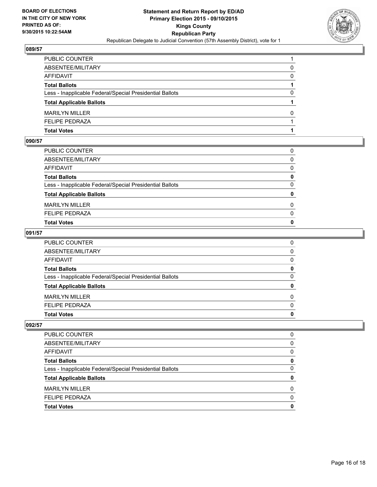

| PUBLIC COUNTER                                           |              |
|----------------------------------------------------------|--------------|
| ABSENTEE/MILITARY                                        | 0            |
| AFFIDAVIT                                                | $\mathbf{0}$ |
| Total Ballots                                            |              |
| Less - Inapplicable Federal/Special Presidential Ballots | 0            |
| <b>Total Applicable Ballots</b>                          |              |
| <b>MARILYN MILLER</b>                                    | 0            |
| FELIPE PEDRAZA                                           |              |
| Total Votes                                              |              |

#### **090/57**

| PUBLIC COUNTER                                           | 0            |
|----------------------------------------------------------|--------------|
| ABSENTEE/MILITARY                                        | $\Omega$     |
| AFFIDAVIT                                                | $\mathbf{0}$ |
| <b>Total Ballots</b>                                     | 0            |
| Less - Inapplicable Federal/Special Presidential Ballots | $\Omega$     |
| <b>Total Applicable Ballots</b>                          | 0            |
|                                                          |              |
| <b>MARILYN MILLER</b>                                    | $\Omega$     |
| <b>FELIPE PEDRAZA</b>                                    | $\mathbf{0}$ |
| <b>Total Votes</b>                                       | $\mathbf{0}$ |

#### **091/57**

| PUBLIC COUNTER                                           | 0            |
|----------------------------------------------------------|--------------|
| ABSENTEE/MILITARY                                        | $\mathbf{0}$ |
| AFFIDAVIT                                                | $\Omega$     |
| <b>Total Ballots</b>                                     | 0            |
| Less - Inapplicable Federal/Special Presidential Ballots | 0            |
| <b>Total Applicable Ballots</b>                          | $\mathbf{0}$ |
| <b>MARILYN MILLER</b>                                    | $\Omega$     |
| <b>FELIPE PEDRAZA</b>                                    | $\Omega$     |
| Total Votes                                              | 0            |
|                                                          |              |

| PUBLIC COUNTER                                           | O            |
|----------------------------------------------------------|--------------|
| ABSENTEE/MILITARY                                        | <sup>0</sup> |
| AFFIDAVIT                                                | <sup>0</sup> |
| <b>Total Ballots</b>                                     | o            |
| Less - Inapplicable Federal/Special Presidential Ballots | <sup>0</sup> |
| <b>Total Applicable Ballots</b>                          |              |
| <b>MARILYN MILLER</b>                                    | O            |
| <b>FELIPE PEDRAZA</b>                                    | n            |
| <b>Total Votes</b>                                       |              |
|                                                          |              |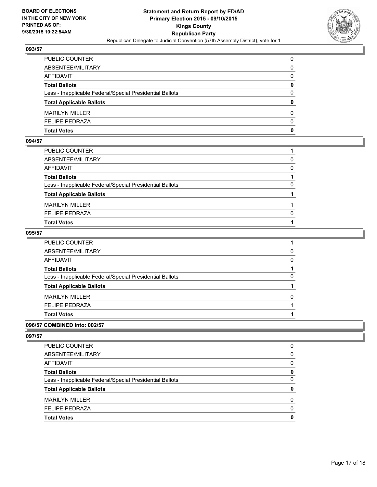

| PUBLIC COUNTER                                           | 0            |
|----------------------------------------------------------|--------------|
| ABSENTEE/MILITARY                                        | 0            |
| AFFIDAVIT                                                | $\mathbf{0}$ |
| Total Ballots                                            | 0            |
| Less - Inapplicable Federal/Special Presidential Ballots | $\mathbf{0}$ |
| <b>Total Applicable Ballots</b>                          | $\mathbf{0}$ |
| <b>MARILYN MILLER</b>                                    | 0            |
| <b>FELIPE PEDRAZA</b>                                    | $\Omega$     |
| Total Votes                                              | $\mathbf{0}$ |

#### **094/57**

| PUBLIC COUNTER                                           |          |
|----------------------------------------------------------|----------|
| ABSENTEE/MILITARY                                        | $\Omega$ |
| AFFIDAVIT                                                | 0        |
| <b>Total Ballots</b>                                     |          |
| Less - Inapplicable Federal/Special Presidential Ballots | 0        |
| <b>Total Applicable Ballots</b>                          |          |
| <b>MARILYN MILLER</b>                                    |          |
| <b>FELIPE PEDRAZA</b>                                    | 0        |
| <b>Total Votes</b>                                       |          |
|                                                          |          |

#### **095/57**

| PUBLIC COUNTER                                           |   |
|----------------------------------------------------------|---|
| ABSENTEE/MILITARY                                        | 0 |
| AFFIDAVIT                                                | 0 |
| Total Ballots                                            |   |
| Less - Inapplicable Federal/Special Presidential Ballots | 0 |
| <b>Total Applicable Ballots</b>                          |   |
| MARILYN MILLER                                           | 0 |
| <b>FELIPE PEDRAZA</b>                                    |   |
| <b>Total Votes</b>                                       |   |
|                                                          |   |

#### **096/57 COMBINED into: 002/57**

| <b>Total Votes</b>                                       | 0        |
|----------------------------------------------------------|----------|
| <b>FELIPE PEDRAZA</b>                                    | $\Omega$ |
| <b>MARILYN MILLER</b>                                    | 0        |
| <b>Total Applicable Ballots</b>                          | 0        |
| Less - Inapplicable Federal/Special Presidential Ballots | 0        |
| <b>Total Ballots</b>                                     | 0        |
| AFFIDAVIT                                                | 0        |
| ABSENTEE/MILITARY                                        | 0        |
| <b>PUBLIC COUNTER</b>                                    | 0        |